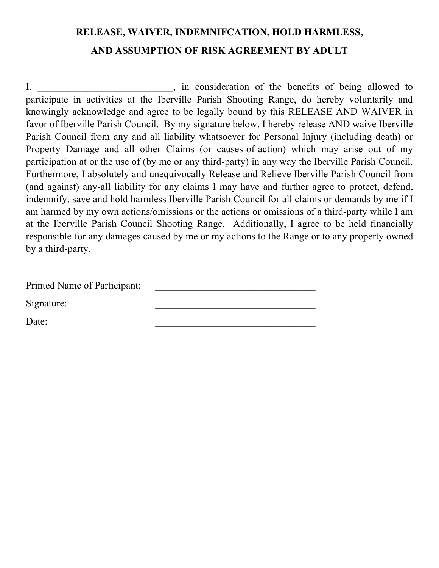## **RELEASE, WAIVER, INDEMNIFCATION, HOLD HARMLESS, AND ASSUMPTION OF RISK AGREEMENT BY ADULT**

I, in consideration of the benefits of being allowed to participate in activities at the Iberville Parish Shooting Range, do hereby voluntarily and knowingly acknowledge and agree to be legally bound by this RELEASE AND WAIVER in favor of Iberville Parish Council. By my signature below, I hereby release AND waive Iberville Parish Council from any and all liability whatsoever for Personal Injury (including death) or Property Damage and all other Claims (or causes-of-action) which may arise out of my participation at or the use of (by me or any third-party) in any way the Iberville Parish Council. Furthermore, I absolutely and unequivocally Release and Relieve Iberville Parish Council from (and against) any-all liability for any claims I may have and further agree to protect, defend, indemnify, save and hold harmless Iberville Parish Council for all claims or demands by me if I am harmed by my own actions/omissions or the actions or omissions of a third-party while I am at the Iberville Parish Council Shooting Range. Additionally, I agree to be held financially responsible for any damages caused by me or my actions to the Range or to any property owned by a third-party.

| Printed Name of Participant: |  |
|------------------------------|--|
| Signature:                   |  |
| Date:                        |  |